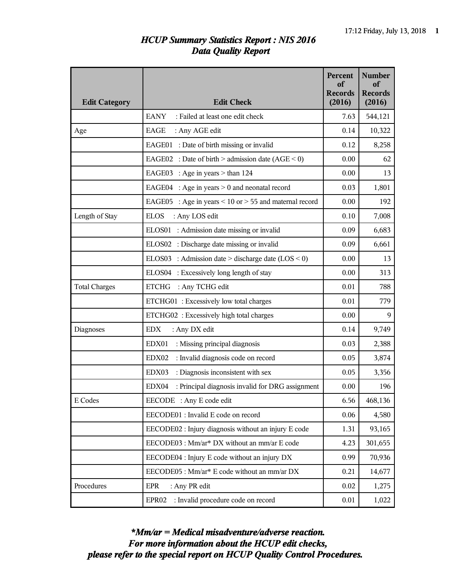## *HCUP Summary Statistics Report : NIS 2016 Data Quality Report*

| <b>Edit Category</b> | <b>Edit Check</b>                                             | Percent<br>of<br><b>Records</b><br>(2016) | <b>Number</b><br>of<br><b>Records</b><br>(2016) |
|----------------------|---------------------------------------------------------------|-------------------------------------------|-------------------------------------------------|
|                      | <b>EANY</b><br>: Failed at least one edit check               | 7.63                                      | 544,121                                         |
| Age                  | EAGE<br>: Any AGE edit                                        | 0.14                                      | 10,322                                          |
|                      | EAGE01 : Date of birth missing or invalid                     | 0.12                                      | 8,258                                           |
|                      | EAGE02 : Date of birth > admission date $(AGE < 0)$           | 0.00                                      | 62                                              |
|                      | EAGE03 : Age in years $>$ than 124                            | 0.00                                      | 13                                              |
|                      | : Age in years $> 0$ and neonatal record<br>EAGE04            | 0.03                                      | 1,801                                           |
|                      | EAGE05 : Age in years $\leq$ 10 or $>$ 55 and maternal record | 0.00                                      | 192                                             |
| Length of Stay       | <b>ELOS</b><br>: Any LOS edit                                 | 0.10                                      | 7,008                                           |
|                      | ELOS01 : Admission date missing or invalid                    | 0.09                                      | 6,683                                           |
|                      | ELOS02 : Discharge date missing or invalid                    | 0.09                                      | 6,661                                           |
|                      | ELOS03 : Admission date > discharge date $(LOS < 0)$          | 0.00                                      | 13                                              |
|                      | ELOS04 : Excessively long length of stay                      | 0.00                                      | 313                                             |
| <b>Total Charges</b> | <b>ETCHG</b><br>: Any TCHG edit                               | 0.01                                      | 788                                             |
|                      | ETCHG01: Excessively low total charges                        | 0.01                                      | 779                                             |
|                      | ETCHG02 : Excessively high total charges                      | 0.00                                      | 9                                               |
| <b>Diagnoses</b>     | <b>EDX</b><br>: Any DX edit                                   | 0.14                                      | 9,749                                           |
|                      | EDX01<br>: Missing principal diagnosis                        | 0.03                                      | 2,388                                           |
|                      | : Invalid diagnosis code on record<br>EDX02                   | 0.05                                      | 3,874                                           |
|                      | : Diagnosis inconsistent with sex<br>EDX03                    | 0.05                                      | 3,356                                           |
|                      | : Principal diagnosis invalid for DRG assignment<br>EDX04     | 0.00                                      | 196                                             |
| E Codes              | EECODE : Any E code edit                                      | 6.56                                      | 468,136                                         |
|                      | EECODE01 : Invalid E code on record                           | 0.06                                      | 4,580                                           |
|                      | EECODE02 : Injury diagnosis without an injury E code          | 1.31                                      | 93,165                                          |
|                      | EECODE03 : Mm/ar* DX without an mm/ar E code                  | 4.23                                      | 301,655                                         |
|                      | EECODE04 : Injury E code without an injury DX                 | 0.99                                      | 70,936                                          |
|                      | EECODE05: Mm/ar* E code without an mm/ar DX                   | 0.21                                      | 14,677                                          |
| Procedures           | <b>EPR</b><br>: Any PR edit                                   | 0.02                                      | 1,275                                           |
|                      | : Invalid procedure code on record<br>EPR <sub>02</sub>       | 0.01                                      | 1,022                                           |

*please refer to the special report on HCUP Quality Control Procedures. For more information about the HCUP edit checks, \*Mm/ar = Medical misadventure/adverse reaction.*